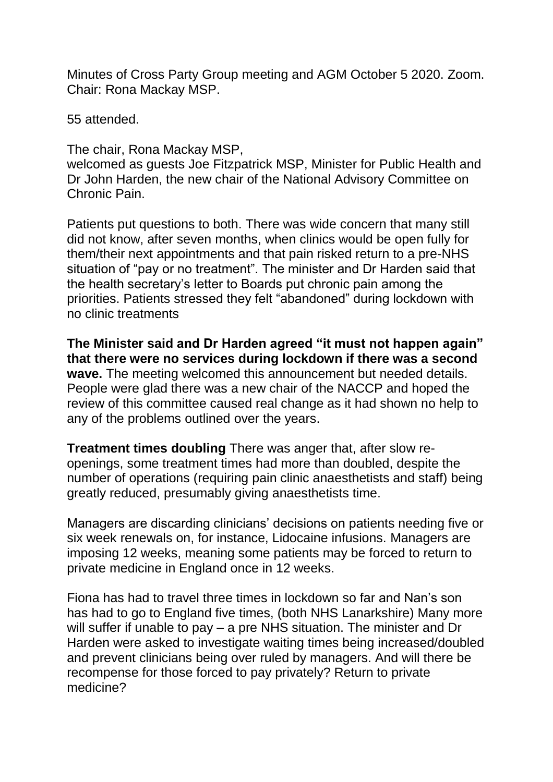Minutes of Cross Party Group meeting and AGM October 5 2020. Zoom. Chair: Rona Mackay MSP.

55 attended.

The chair, Rona Mackay MSP,

welcomed as guests Joe Fitzpatrick MSP, Minister for Public Health and Dr John Harden, the new chair of the National Advisory Committee on Chronic Pain.

Patients put questions to both. There was wide concern that many still did not know, after seven months, when clinics would be open fully for them/their next appointments and that pain risked return to a pre-NHS situation of "pay or no treatment". The minister and Dr Harden said that the health secretary's letter to Boards put chronic pain among the priorities. Patients stressed they felt "abandoned" during lockdown with no clinic treatments

**The Minister said and Dr Harden agreed "it must not happen again" that there were no services during lockdown if there was a second wave.** The meeting welcomed this announcement but needed details. People were glad there was a new chair of the NACCP and hoped the review of this committee caused real change as it had shown no help to any of the problems outlined over the years.

**Treatment times doubling** There was anger that, after slow reopenings, some treatment times had more than doubled, despite the number of operations (requiring pain clinic anaesthetists and staff) being greatly reduced, presumably giving anaesthetists time.

Managers are discarding clinicians' decisions on patients needing five or six week renewals on, for instance, Lidocaine infusions. Managers are imposing 12 weeks, meaning some patients may be forced to return to private medicine in England once in 12 weeks.

Fiona has had to travel three times in lockdown so far and Nan's son has had to go to England five times, (both NHS Lanarkshire) Many more will suffer if unable to pay – a pre NHS situation. The minister and Dr Harden were asked to investigate waiting times being increased/doubled and prevent clinicians being over ruled by managers. And will there be recompense for those forced to pay privately? Return to private medicine?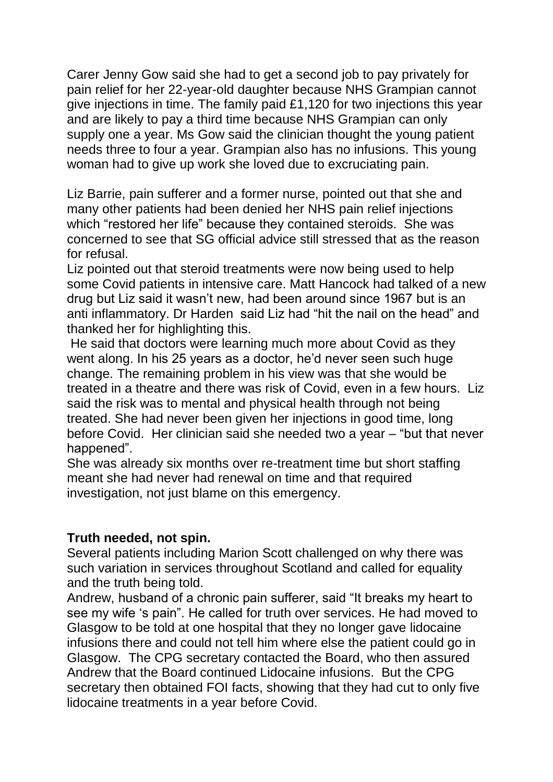Carer Jenny Gow said she had to get a second job to pay privately for pain relief for her 22-year-old daughter because NHS Grampian cannot give injections in time. The family paid £1,120 for two injections this year and are likely to pay a third time because NHS Grampian can only supply one a year. Ms Gow said the clinician thought the young patient needs three to four a year. Grampian also has no infusions. This young woman had to give up work she loved due to excruciating pain.

Liz Barrie, pain sufferer and a former nurse, pointed out that she and many other patients had been denied her NHS pain relief injections which "restored her life" because they contained steroids. She was concerned to see that SG official advice still stressed that as the reason for refusal.

Liz pointed out that steroid treatments were now being used to help some Covid patients in intensive care. Matt Hancock had talked of a new drug but Liz said it wasn't new, had been around since 1967 but is an anti inflammatory. Dr Harden said Liz had "hit the nail on the head" and thanked her for highlighting this.

He said that doctors were learning much more about Covid as they went along. In his 25 years as a doctor, he'd never seen such huge change. The remaining problem in his view was that she would be treated in a theatre and there was risk of Covid, even in a few hours. Liz said the risk was to mental and physical health through not being treated. She had never been given her injections in good time, long before Covid. Her clinician said she needed two a year – "but that never happened".

She was already six months over re-treatment time but short staffing meant she had never had renewal on time and that required investigation, not just blame on this emergency.

## **Truth needed, not spin.**

Several patients including Marion Scott challenged on why there was such variation in services throughout Scotland and called for equality and the truth being told.

Andrew, husband of a chronic pain sufferer, said "It breaks my heart to see my wife 's pain". He called for truth over services. He had moved to Glasgow to be told at one hospital that they no longer gave lidocaine infusions there and could not tell him where else the patient could go in Glasgow. The CPG secretary contacted the Board, who then assured Andrew that the Board continued Lidocaine infusions. But the CPG secretary then obtained FOI facts, showing that they had cut to only five lidocaine treatments in a year before Covid.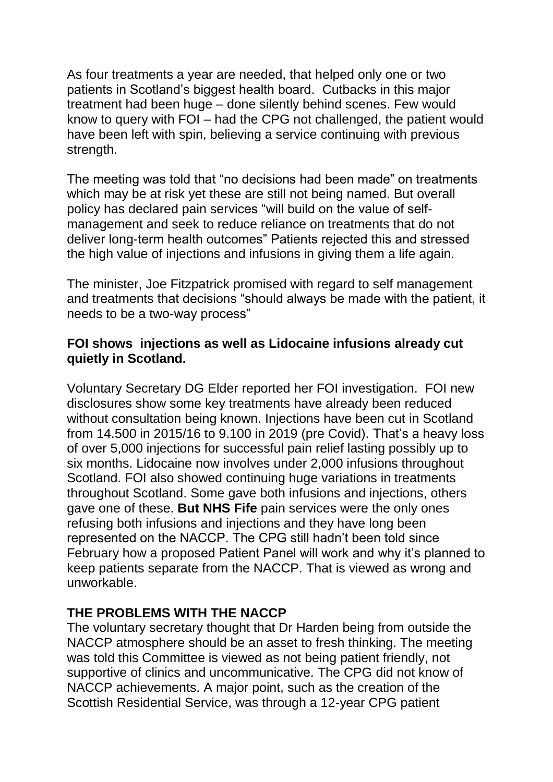As four treatments a year are needed, that helped only one or two patients in Scotland's biggest health board. Cutbacks in this major treatment had been huge – done silently behind scenes. Few would know to query with FOI – had the CPG not challenged, the patient would have been left with spin, believing a service continuing with previous strength.

The meeting was told that "no decisions had been made" on treatments which may be at risk yet these are still not being named. But overall policy has declared pain services "will build on the value of selfmanagement and seek to reduce reliance on treatments that do not deliver long-term health outcomes" Patients rejected this and stressed the high value of injections and infusions in giving them a life again.

The minister, Joe Fitzpatrick promised with regard to self management and treatments that decisions "should always be made with the patient, it needs to be a two-way process"

## **FOI shows injections as well as Lidocaine infusions already cut quietly in Scotland.**

Voluntary Secretary DG Elder reported her FOI investigation. FOI new disclosures show some key treatments have already been reduced without consultation being known. Injections have been cut in Scotland from 14.500 in 2015/16 to 9.100 in 2019 (pre Covid). That's a heavy loss of over 5,000 injections for successful pain relief lasting possibly up to six months. Lidocaine now involves under 2,000 infusions throughout Scotland. FOI also showed continuing huge variations in treatments throughout Scotland. Some gave both infusions and injections, others gave one of these. **But NHS Fife** pain services were the only ones refusing both infusions and injections and they have long been represented on the NACCP. The CPG still hadn't been told since February how a proposed Patient Panel will work and why it's planned to keep patients separate from the NACCP. That is viewed as wrong and unworkable.

## **THE PROBLEMS WITH THE NACCP**

The voluntary secretary thought that Dr Harden being from outside the NACCP atmosphere should be an asset to fresh thinking. The meeting was told this Committee is viewed as not being patient friendly, not supportive of clinics and uncommunicative. The CPG did not know of NACCP achievements. A major point, such as the creation of the Scottish Residential Service, was through a 12-year CPG patient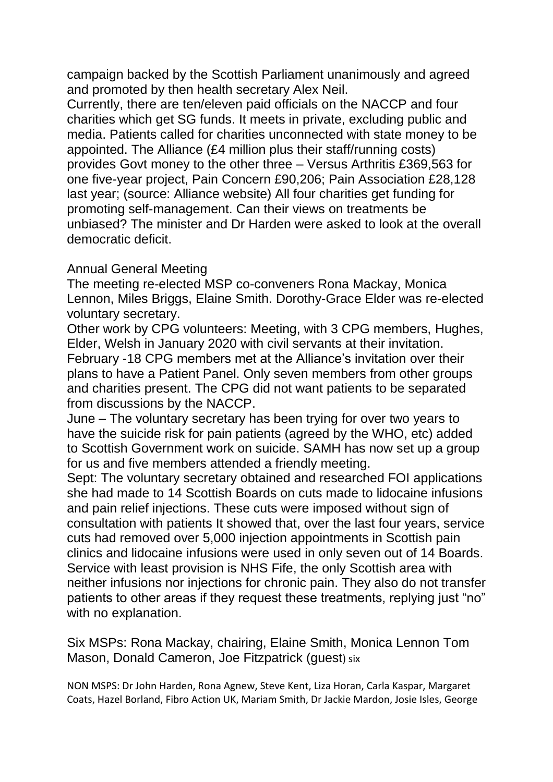campaign backed by the Scottish Parliament unanimously and agreed and promoted by then health secretary Alex Neil.

Currently, there are ten/eleven paid officials on the NACCP and four charities which get SG funds. It meets in private, excluding public and media. Patients called for charities unconnected with state money to be appointed. The Alliance (£4 million plus their staff/running costs) provides Govt money to the other three – Versus Arthritis £369,563 for one five-year project, Pain Concern £90,206; Pain Association £28,128 last year; (source: Alliance website) All four charities get funding for promoting self-management. Can their views on treatments be unbiased? The minister and Dr Harden were asked to look at the overall democratic deficit.

## Annual General Meeting

The meeting re-elected MSP co-conveners Rona Mackay, Monica Lennon, Miles Briggs, Elaine Smith. Dorothy-Grace Elder was re-elected voluntary secretary.

Other work by CPG volunteers: Meeting, with 3 CPG members, Hughes, Elder, Welsh in January 2020 with civil servants at their invitation. February -18 CPG members met at the Alliance's invitation over their plans to have a Patient Panel. Only seven members from other groups and charities present. The CPG did not want patients to be separated from discussions by the NACCP.

June – The voluntary secretary has been trying for over two years to have the suicide risk for pain patients (agreed by the WHO, etc) added to Scottish Government work on suicide. SAMH has now set up a group for us and five members attended a friendly meeting.

Sept: The voluntary secretary obtained and researched FOI applications she had made to 14 Scottish Boards on cuts made to lidocaine infusions and pain relief injections. These cuts were imposed without sign of consultation with patients It showed that, over the last four years, service cuts had removed over 5,000 injection appointments in Scottish pain clinics and lidocaine infusions were used in only seven out of 14 Boards. Service with least provision is NHS Fife, the only Scottish area with neither infusions nor injections for chronic pain. They also do not transfer patients to other areas if they request these treatments, replying just "no" with no explanation.

Six MSPs: Rona Mackay, chairing, Elaine Smith, Monica Lennon Tom Mason, Donald Cameron, Joe Fitzpatrick (guest) six

NON MSPS: Dr John Harden, Rona Agnew, Steve Kent, Liza Horan, Carla Kaspar, Margaret Coats, Hazel Borland, Fibro Action UK, Mariam Smith, Dr Jackie Mardon, Josie Isles, George